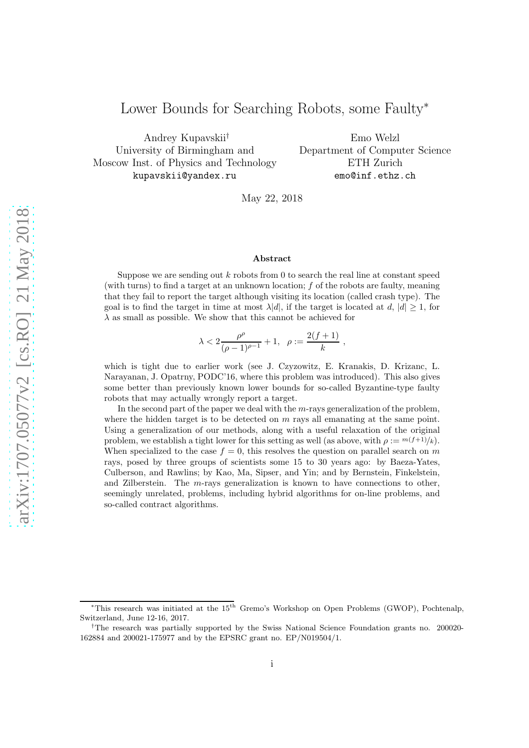# Lower Bounds for Searching Robots, some Faulty<sup>∗</sup>

Andrey Kupavskii† University of Birmingham and Moscow Inst. of Physics and Technology kupavskii@yandex.ru

Emo Welzl Department of Computer Science ETH Zurich emo@inf.ethz.ch

May 22, 2018

#### Abstract

Suppose we are sending out  $k$  robots from 0 to search the real line at constant speed (with turns) to find a target at an unknown location;  $f$  of the robots are faulty, meaning that they fail to report the target although visiting its location (called crash type). The goal is to find the target in time at most  $\lambda |d|$ , if the target is located at d,  $|d| > 1$ , for  $\lambda$  as small as possible. We show that this cannot be achieved for

$$
\lambda < 2 \frac{\rho^\rho}{(\rho-1)^{\rho-1}} + 1, \ \ \rho := \frac{2(f+1)}{k} \ ,
$$

which is tight due to earlier work (see J. Czyzowitz, E. Kranakis, D. Krizanc, L. Narayanan, J. Opatrny, PODC'16, where this problem was introduced). This also gives some better than previously known lower bounds for so-called Byzantine-type faulty robots that may actually wrongly report a target.

In the second part of the paper we deal with the  $m$ -rays generalization of the problem, where the hidden target is to be detected on  $m$  rays all emanating at the same point. Using a generalization of our methods, along with a useful relaxation of the original problem, we establish a tight lower for this setting as well (as above, with  $\rho := (f+1)/k$ ). When specialized to the case  $f = 0$ , this resolves the question on parallel search on m rays, posed by three groups of scientists some 15 to 30 years ago: by Baeza-Yates, Culberson, and Rawlins; by Kao, Ma, Sipser, and Yin; and by Bernstein, Finkelstein, and Zilberstein. The m-rays generalization is known to have connections to other, seemingly unrelated, problems, including hybrid algorithms for on-line problems, and so-called contract algorithms.

<sup>&</sup>lt;sup>\*</sup>This research was initiated at the 15<sup>th</sup> Gremo's Workshop on Open Problems (GWOP), Pochtenalp, Switzerland, June 12-16, 2017.

<sup>†</sup>The research was partially supported by the Swiss National Science Foundation grants no. 200020- 162884 and 200021-175977 and by the EPSRC grant no. EP/N019504/1.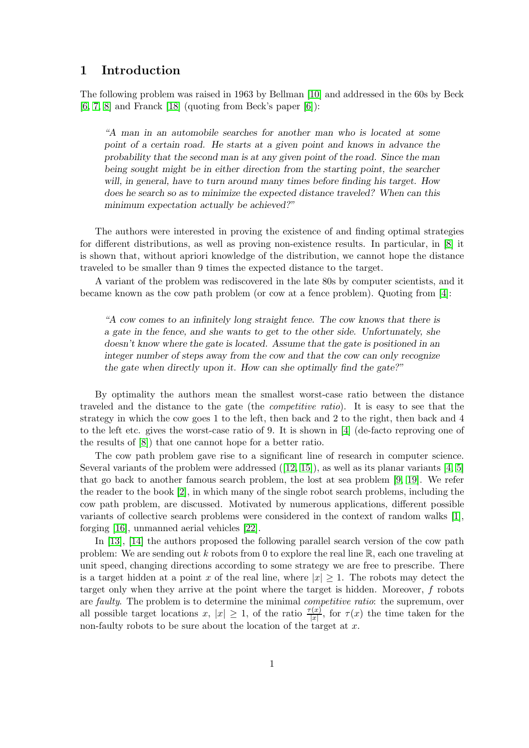### 1 Introduction

The following problem was raised in 1963 by Bellman [\[10\]](#page-11-0) and addressed in the 60s by Beck  $[6, 7, 8]$  $[6, 7, 8]$  $[6, 7, 8]$  and Franck  $[18]$  (quoting from Beck's paper  $[6]$ ):

"A man in an automobile searches for another man who is located at some point of a certain road. He starts at a given point and knows in advance the probability that the second man is at any given point of the road. Since the man being sought might be in either direction from the starting point, the searcher will, in general, have to turn around many times before finding his target. How does he search so as to minimize the expected distance traveled? When can this minimum expectation actually be achieved?"

The authors were interested in proving the existence of and finding optimal strategies for different distributions, as well as proving non-existence results. In particular, in [\[8\]](#page-11-3) it is shown that, without apriori knowledge of the distribution, we cannot hope the distance traveled to be smaller than 9 times the expected distance to the target.

A variant of the problem was rediscovered in the late 80s by computer scientists, and it became known as the cow path problem (or cow at a fence problem). Quoting from [\[4\]](#page-11-4):

"A cow comes to an infinitely long straight fence. The cow knows that there is a gate in the fence, and she wants to get to the other side. Unfortunately, she doesn't know where the gate is located. Assume that the gate is positioned in an integer number of steps away from the cow and that the cow can only recognize the gate when directly upon it. How can she optimally find the gate?"

By optimality the authors mean the smallest worst-case ratio between the distance traveled and the distance to the gate (the *competitive ratio*). It is easy to see that the strategy in which the cow goes 1 to the left, then back and 2 to the right, then back and 4 to the left etc. gives the worst-case ratio of 9. It is shown in [\[4\]](#page-11-4) (de-facto reproving one of the results of [\[8\]](#page-11-3)) that one cannot hope for a better ratio.

The cow path problem gave rise to a significant line of research in computer science. Several variants of the problem were addressed  $([12, 15])$  $([12, 15])$  $([12, 15])$  $([12, 15])$ , as well as its planar variants [\[4,](#page-11-4) [5\]](#page-11-7) that go back to another famous search problem, the lost at sea problem [\[9,](#page-11-8) [19\]](#page-12-1). We refer the reader to the book [\[2\]](#page-11-9), in which many of the single robot search problems, including the cow path problem, are discussed. Motivated by numerous applications, different possible variants of collective search problems were considered in the context of random walks [\[1\]](#page-11-10), forging [\[16\]](#page-11-11), unmanned aerial vehicles [\[22\]](#page-12-2).

In [\[13\]](#page-11-12), [\[14\]](#page-11-13) the authors proposed the following parallel search version of the cow path problem: We are sending out k robots from 0 to explore the real line  $\mathbb{R}$ , each one traveling at unit speed, changing directions according to some strategy we are free to prescribe. There is a target hidden at a point x of the real line, where  $|x| \geq 1$ . The robots may detect the target only when they arrive at the point where the target is hidden. Moreover, f robots are *faulty*. The problem is to determine the minimal *competitive ratio*: the supremum, over all possible target locations x,  $|x| \geq 1$ , of the ratio  $\frac{\tau(x)}{|x|}$ , for  $\tau(x)$  the time taken for the non-faulty robots to be sure about the location of the target at  $x$ .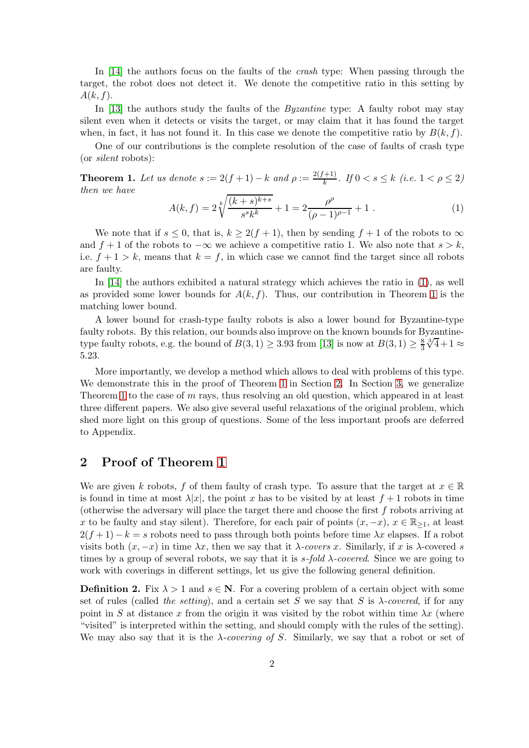In [\[14\]](#page-11-13) the authors focus on the faults of the *crash* type: When passing through the target, the robot does not detect it. We denote the competitive ratio in this setting by  $A(k, f)$ .

In [\[13\]](#page-11-12) the authors study the faults of the *Byzantine* type: A faulty robot may stay silent even when it detects or visits the target, or may claim that it has found the target when, in fact, it has not found it. In this case we denote the competitive ratio by  $B(k, f)$ .

One of our contributions is the complete resolution of the case of faults of crash type (or *silent* robots):

<span id="page-2-1"></span>**Theorem 1.** Let us denote  $s := 2(f+1) - k$  and  $\rho := \frac{2(f+1)}{k}$  $\frac{+1}{k}$ *. If*  $0 < s \leq k$  (*i.e.*  $1 < \rho \leq 2$ ) *then we have*

<span id="page-2-0"></span>
$$
A(k, f) = 2\sqrt[k]{\frac{(k+s)^{k+s}}{s^sk^k}} + 1 = 2\frac{\rho^{\rho}}{(\rho - 1)^{\rho - 1}} + 1.
$$
 (1)

We note that if  $s \leq 0$ , that is,  $k \geq 2(f+1)$ , then by sending  $f+1$  of the robots to  $\infty$ and  $f + 1$  of the robots to  $-\infty$  we achieve a competitive ratio 1. We also note that  $s > k$ , i.e.  $f + 1 > k$ , means that  $k = f$ , in which case we cannot find the target since all robots are faulty.

In [\[14\]](#page-11-13) the authors exhibited a natural strategy which achieves the ratio in [\(1\)](#page-2-0), as well as provided some lower bounds for  $A(k, f)$ . Thus, our contribution in Theorem [1](#page-2-1) is the matching lower bound.

A lower bound for crash-type faulty robots is also a lower bound for Byzantine-type faulty robots. By this relation, our bounds also improve on the known bounds for Byzantinetype faulty robots, e.g. the bound of  $B(3,1) \ge 3.93$  from [\[13\]](#page-11-12) is now at  $B(3,1) \ge \frac{8}{3}$ 3  $\sqrt[3]{4}+1 \approx$ 5.23.

More importantly, we develop a method which allows to deal with problems of this type. We demonstrate this in the proof of Theorem [1](#page-2-1) in Section [2.](#page-2-2) In Section [3,](#page-6-0) we generalize Theorem [1](#page-2-1) to the case of  $m$  rays, thus resolving an old question, which appeared in at least three different papers. We also give several useful relaxations of the original problem, which shed more light on this group of questions. Some of the less important proofs are deferred to Appendix.

## <span id="page-2-2"></span>2 Proof of Theorem [1](#page-2-1)

We are given k robots, f of them faulty of crash type. To assure that the target at  $x \in \mathbb{R}$ is found in time at most  $\lambda |x|$ , the point x has to be visited by at least  $f + 1$  robots in time (otherwise the adversary will place the target there and choose the first  $f$  robots arriving at x to be faulty and stay silent). Therefore, for each pair of points  $(x, -x)$ ,  $x \in \mathbb{R}_{\geq 1}$ , at least  $2(f+1) - k = s$  robots need to pass through both points before time  $\lambda x$  elapses. If a robot visits both  $(x, -x)$  in time  $\lambda x$ , then we say that it  $\lambda$ -covers x. Similarly, if x is  $\lambda$ -covered s times by a group of several robots, we say that it is  $s$ -fold  $\lambda$ -covered. Since we are going to work with coverings in different settings, let us give the following general definition.

**Definition 2.** Fix  $\lambda > 1$  and  $s \in \mathbb{N}$ . For a covering problem of a certain object with some set of rules (called *the setting*), and a certain set S we say that S is λ*-covered*, if for any point in S at distance x from the origin it was visited by the robot within time  $\lambda x$  (where "visited" is interpreted within the setting, and should comply with the rules of the setting). We may also say that it is the  $\lambda$ -covering of S. Similarly, we say that a robot or set of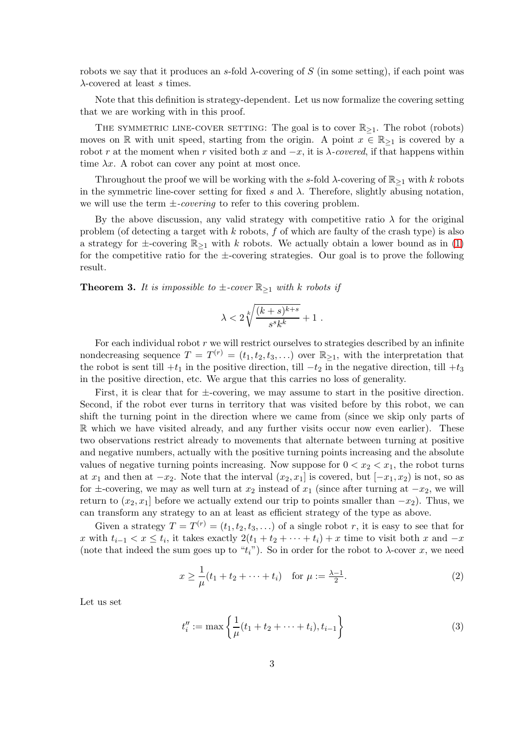robots we say that it produces an s-fold  $\lambda$ -covering of S (in some setting), if each point was  $\lambda$ -covered at least s times.

Note that this definition is strategy-dependent. Let us now formalize the covering setting that we are working with in this proof.

THE SYMMETRIC LINE-COVER SETTING: The goal is to cover  $\mathbb{R}_{\geq 1}$ . The robot (robots) moves on R with unit speed, starting from the origin. A point  $x \in \mathbb{R}_{\geq 1}$  is covered by a robot r at the moment when r visited both x and  $-x$ , it is  $\lambda$ -covered, if that happens within time  $\lambda x$ . A robot can cover any point at most once.

Throughout the proof we will be working with the s-fold  $\lambda$ -covering of  $\mathbb{R}_{\geq 1}$  with k robots in the symmetric line-cover setting for fixed s and  $\lambda$ . Therefore, slightly abusing notation, we will use the term  $\pm$ *-covering* to refer to this covering problem.

By the above discussion, any valid strategy with competitive ratio  $\lambda$  for the original problem (of detecting a target with  $k$  robots,  $f$  of which are faulty of the crash type) is also a strategy for  $\pm$ -covering  $\mathbb{R}_{\geq 1}$  with k robots. We actually obtain a lower bound as in [\(1\)](#page-2-0) for the competitive ratio for the  $\pm$ -covering strategies. Our goal is to prove the following result.

<span id="page-3-1"></span>**Theorem 3.** It is impossible to  $\pm$ -cover  $\mathbb{R}_{\geq 1}$  with k robots if

$$
\lambda < 2\sqrt[k]{\frac{(k+s)^{k+s}}{s^sk^k}} + 1.
$$

For each individual robot  $r$  we will restrict ourselves to strategies described by an infinite nondecreasing sequence  $T = T^{(r)} = (t_1, t_2, t_3, \ldots)$  over  $\mathbb{R}_{\geq 1}$ , with the interpretation that the robot is sent till  $+t_1$  in the positive direction, till  $-t_2$  in the negative direction, till  $+t_3$ in the positive direction, etc. We argue that this carries no loss of generality.

First, it is clear that for  $\pm$ -covering, we may assume to start in the positive direction. Second, if the robot ever turns in territory that was visited before by this robot, we can shift the turning point in the direction where we came from (since we skip only parts of R which we have visited already, and any further visits occur now even earlier). These two observations restrict already to movements that alternate between turning at positive and negative numbers, actually with the positive turning points increasing and the absolute values of negative turning points increasing. Now suppose for  $0 < x_2 < x_1$ , the robot turns at  $x_1$  and then at  $-x_2$ . Note that the interval  $(x_2, x_1]$  is covered, but  $[-x_1, x_2]$  is not, so as for  $\pm$ -covering, we may as well turn at  $x_2$  instead of  $x_1$  (since after turning at  $-x_2$ , we will return to  $(x_2, x_1)$  before we actually extend our trip to points smaller than  $-x_2$ ). Thus, we can transform any strategy to an at least as efficient strategy of the type as above.

Given a strategy  $T = T^{(r)} = (t_1, t_2, t_3, \ldots)$  of a single robot r, it is easy to see that for x with  $t_{i-1} < x \leq t_i$ , it takes exactly  $2(t_1 + t_2 + \cdots + t_i) + x$  time to visit both x and  $-x$ (note that indeed the sum goes up to " $t_i$ "). So in order for the robot to  $\lambda$ -cover x, we need

$$
x \ge \frac{1}{\mu}(t_1 + t_2 + \dots + t_i) \quad \text{for } \mu := \frac{\lambda - 1}{2}.
$$
 (2)

Let us set

<span id="page-3-0"></span>
$$
t_i'' := \max\left\{\frac{1}{\mu}(t_1 + t_2 + \dots + t_i), t_{i-1}\right\}
$$
 (3)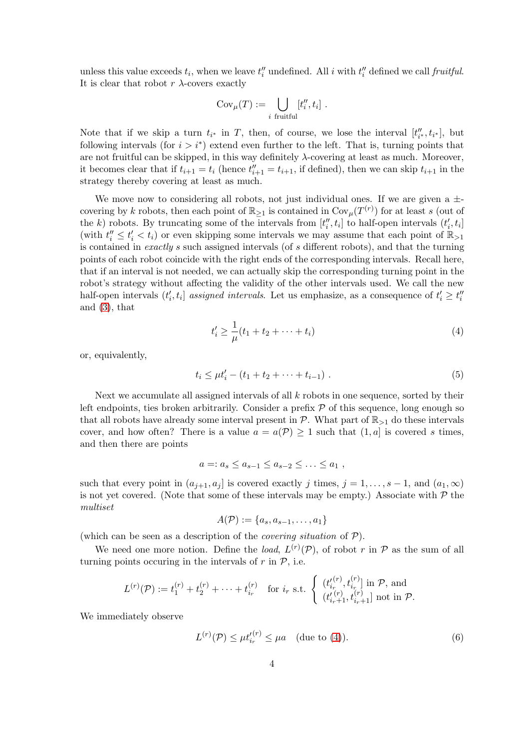unless this value exceeds  $t_i$ , when we leave  $t''_i$  undefined. All i with  $t''_i$  defined we call *fruitful*. It is clear that robot  $r \lambda$ -covers exactly

$$
Cov_{\mu}(T) := \bigcup_{i \text{ fruitful}} [t''_i, t_i] .
$$

Note that if we skip a turn  $t_{i^*}$  in T, then, of course, we lose the interval  $[t''_{i^*}, t_{i^*}]$ , but following intervals (for  $i > i^*$ ) extend even further to the left. That is, turning points that are not fruitful can be skipped, in this way definitely  $\lambda$ -covering at least as much. Moreover, it becomes clear that if  $t_{i+1} = t_i$  (hence  $t''_{i+1} = t_{i+1}$ , if defined), then we can skip  $t_{i+1}$  in the strategy thereby covering at least as much.

We move now to considering all robots, not just individual ones. If we are given a  $\pm$ covering by k robots, then each point of  $\mathbb{R}_{\geq 1}$  is contained in  $\text{Cov}_{\mu}(T^{(r)})$  for at least s (out of the k) robots. By truncating some of the intervals from  $[t''_i, t_i]$  to half-open intervals  $(t'_i, t_i]$ (with  $t''_i \leq t'_i < t_i$ ) or even skipping some intervals we may assume that each point of  $\mathbb{R}_{>1}$ is contained in *exactly* s such assigned intervals (of s different robots), and that the turning points of each robot coincide with the right ends of the corresponding intervals. Recall here, that if an interval is not needed, we can actually skip the corresponding turning point in the robot's strategy without affecting the validity of the other intervals used. We call the new half-open intervals  $(t'_i, t_i]$  assigned intervals. Let us emphasize, as a consequence of  $t'_i \geq t''_i$ and [\(3\)](#page-3-0), that

<span id="page-4-0"></span>
$$
t'_{i} \ge \frac{1}{\mu}(t_{1} + t_{2} + \dots + t_{i})
$$
\n(4)

or, equivalently,

<span id="page-4-1"></span>
$$
t_i \le \mu t'_i - (t_1 + t_2 + \dots + t_{i-1}). \tag{5}
$$

Next we accumulate all assigned intervals of all  $k$  robots in one sequence, sorted by their left endpoints, ties broken arbitrarily. Consider a prefix  $P$  of this sequence, long enough so that all robots have already some interval present in  $\mathcal{P}$ . What part of  $\mathbb{R}_{>1}$  do these intervals cover, and how often? There is a value  $a = a(\mathcal{P}) \geq 1$  such that  $(1, a]$  is covered s times, and then there are points

$$
a=:a_s\leq a_{s-1}\leq a_{s-2}\leq\ldots\leq a_1,
$$

such that every point in  $(a_{j+1}, a_j]$  is covered exactly j times,  $j = 1, \ldots, s-1$ , and  $(a_1, \infty)$ is not yet covered. (Note that some of these intervals may be empty.) Associate with  $P$  the *multiset*

$$
A(\mathcal{P}) := \{a_s, a_{s-1}, \ldots, a_1\}
$$

(which can be seen as a description of the *covering situation* of P).

We need one more notion. Define the *load*,  $L^{(r)}(\mathcal{P})$ , of robot r in  $\mathcal P$  as the sum of all turning points occuring in the intervals of  $r$  in  $P$ , i.e.

$$
L^{(r)}(\mathcal{P}) := t_1^{(r)} + t_2^{(r)} + \cdots + t_{i_r}^{(r)} \text{ for } i_r \text{ s.t. } \begin{cases} (t_{i_r}^{(r)}, t_{i_r}^{(r)}) \text{ in } \mathcal{P}, \text{ and} \\ (t_{i_r+1}^{(r)}, t_{i_r+1}^{(r)}) \text{ not in } \mathcal{P}. \end{cases}
$$

We immediately observe

<span id="page-4-2"></span>
$$
L^{(r)}(\mathcal{P}) \le \mu t_{i_r}^{\prime(r)} \le \mu a \quad \text{(due to (4))}.
$$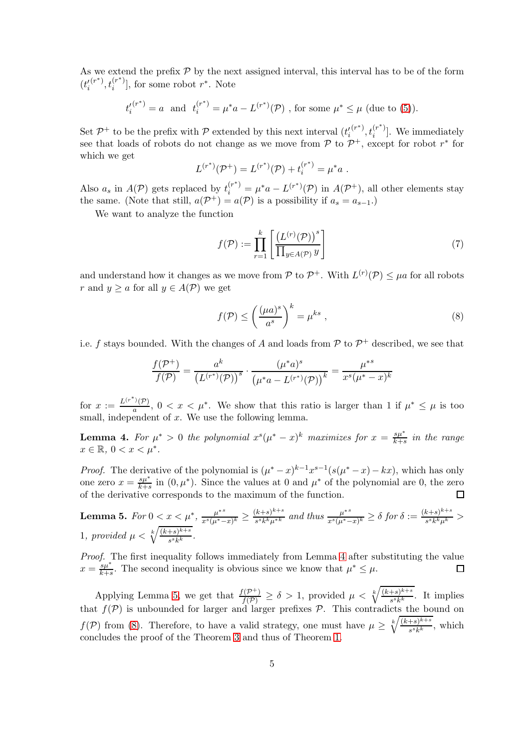As we extend the prefix  $P$  by the next assigned interval, this interval has to be of the form  $(t'_i$  $(r^*)$ ,  $t_i^{(r^*)}$  $\binom{r^*}{i}$ , for some robot  $r^*$ . Note

$$
t_i^{(r^*)} = a
$$
 and  $t_i^{(r^*)} = \mu^* a - L^{(r^*)}(\mathcal{P})$ , for some  $\mu^* \le \mu$  (due to (5)).

Set  $\mathcal{P}^+$  to be the prefix with  $\mathcal P$  extended by this next interval  $(t'_i)$  $(r^*)$ ,  $t_i^{(r^*)}$  $i^{(r)}$ ]. We immediately see that loads of robots do not change as we move from  $P$  to  $P^+$ , except for robot  $r^*$  for which we get

$$
L^{(r^*)}(\mathcal{P}^+) = L^{(r^*)}(\mathcal{P}) + t_i^{(r^*)} = \mu^* a.
$$

Also  $a_s$  in  $A(\mathcal{P})$  gets replaced by  $t_i^{(r^*)} = \mu^* a - L^{(r^*)}(\mathcal{P})$  in  $A(\mathcal{P}^+)$ , all other elements stay the same. (Note that still,  $a(\mathcal{P}^+) = a(\mathcal{P})$  is a possibility if  $a_s = a_{s-1}$ .)

We want to analyze the function

$$
f(\mathcal{P}) := \prod_{r=1}^{k} \left[ \frac{\left( L^{(r)}(\mathcal{P}) \right)^s}{\prod_{y \in A(\mathcal{P})} y} \right]
$$
(7)

and understand how it changes as we move from  $P$  to  $P^+$ . With  $L^{(r)}(P) \leq \mu a$  for all robots r and  $y \ge a$  for all  $y \in A(\mathcal{P})$  we get

<span id="page-5-2"></span>
$$
f(\mathcal{P}) \le \left(\frac{(\mu a)^s}{a^s}\right)^k = \mu^{ks} , \qquad (8)
$$

i.e. f stays bounded. With the changes of A and loads from  $P$  to  $P^+$  described, we see that

$$
\frac{f(\mathcal{P}^+)}{f(\mathcal{P})} = \frac{a^k}{(L^{(r^*)}(\mathcal{P}))^s} \cdot \frac{(\mu^* a)^s}{(\mu^* a - L^{(r^*)}(\mathcal{P}))^k} = \frac{\mu^{*s}}{x^s (\mu^* - x)^k}
$$

for  $x := \frac{L^{(r^*)}(\mathcal{P})}{a}$  $\frac{\partial(\mathcal{P})}{\partial a}$ ,  $0 < x < \mu^*$ . We show that this ratio is larger than 1 if  $\mu^* \leq \mu$  is too small, independent of  $x$ . We use the following lemma.

<span id="page-5-0"></span>**Lemma 4.** For  $\mu^* > 0$  the polynomial  $x^s(\mu^* - x)^k$  maximizes for  $x = \frac{s\mu^*}{k+s}$  $\frac{s\mu}{k+s}$  *in the range*  $x \in \mathbb{R}, \, 0 < x < \mu^*$ .

*Proof.* The derivative of the polynomial is  $(\mu^* - x)^{k-1} x^{s-1} (s(\mu^* - x) - kx)$ , which has only one zero  $x = \frac{s\mu^*}{k+s}$  $\frac{s\mu^*}{k+s}$  in  $(0,\mu^*)$ . Since the values at 0 and  $\mu^*$  of the polynomial are 0, the zero of the derivative corresponds to the maximum of the function.

<span id="page-5-1"></span>Lemma 5.  $For\ 0 < x < \mu^*, \ \frac{\mu^{*s}}{s^s(\mu^*)}$  $\frac{\mu^{*s}}{x^{s}(\mu^{*}-x)^{k}} \geq \frac{(k+s)^{k+s}}{s^{s}k^{k}\mu^{*k}}$  $\frac{(k+s)^{k+s}}{s^s k^k \mu^{*k}}$  and thus  $\frac{\mu^{*s}}{x^s(\mu^{*s})}$  $\frac{\mu^{*s}}{x^s(\mu^*-x)^k}$  ≥  $\delta$  for  $\delta := \frac{(k+s)^{k+s}}{s^sk^k\mu^k}$  $\frac{\kappa+s_j}{s^sk^k\mu^k} >$ 1, provided  $\mu < \sqrt[k]{\frac{(k+s)^{k+s}}{s^s k^k}}$  $\frac{+s)^{n+1}}{s^s k^k}$ .

*Proof.* The first inequality follows immediately from Lemma [4](#page-5-0) after substituting the value  $x = \frac{s\mu^*}{k+s}$  $\frac{s\mu^*}{k+s}$ . The second inequality is obvious since we know that  $\mu^* \leq \mu$ .  $\Box$ 

Applying Lemma [5,](#page-5-1) we get that  $\frac{f(\mathcal{P}^+)}{f(\mathcal{P})} \ge \delta > 1$ , provided  $\mu < \sqrt[k]{\frac{(k+s)^{k+s}}{s^s k^k}}$  $\frac{+s\gamma^{k+1}}{s^s k^k}$ . It implies that  $f(\mathcal{P})$  is unbounded for larger and larger prefixes  $\mathcal{P}$ . This contradicts the bound on  $f(\mathcal{P})$  from [\(8\)](#page-5-2). Therefore, to have a valid strategy, one must have  $\mu \geq \sqrt[k]{\frac{(k+s)^{k+s}}{s^sk^k}}$  $\frac{+s}{s^s k^k}$ , which concludes the proof of the Theorem [3](#page-3-1) and thus of Theorem [1.](#page-2-1)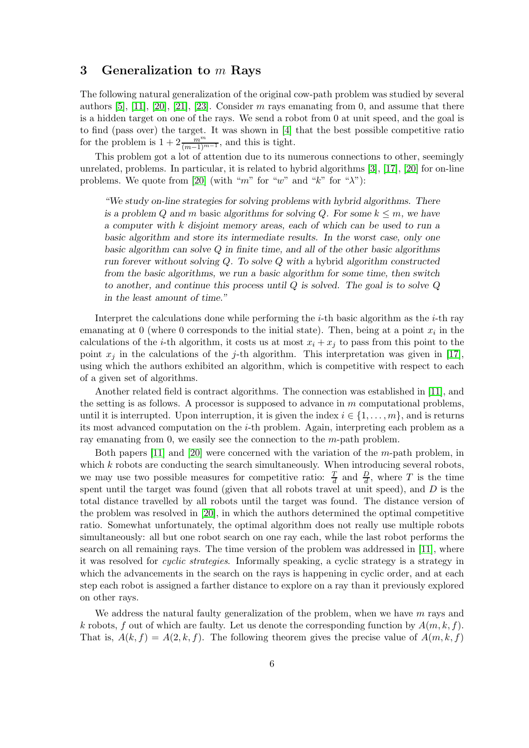#### <span id="page-6-0"></span>3 Generalization to  $m$  Rays

The following natural generalization of the original cow-path problem was studied by several authors  $[5]$ ,  $[11]$ ,  $[20]$ ,  $[21]$ ,  $[23]$ . Consider m rays emanating from 0, and assume that there is a hidden target on one of the rays. We send a robot from 0 at unit speed, and the goal is to find (pass over) the target. It was shown in [\[4\]](#page-11-4) that the best possible competitive ratio for the problem is  $1 + 2 \frac{m^m}{(m-1)^{m-1}}$ , and this is tight.

This problem got a lot of attention due to its numerous connections to other, seemingly unrelated, problems. In particular, it is related to hybrid algorithms [\[3\]](#page-11-15), [\[17\]](#page-11-16), [\[20\]](#page-12-3) for on-line problems. We quote from [\[20\]](#page-12-3) (with "m" for "w" and "k" for " $\lambda$ "):

"We study on-line strategies for solving problems with hybrid algorithms. There is a problem Q and m basic algorithms for solving Q. For some  $k \leq m$ , we have a computer with k disjoint memory areas, each of which can be used to run a basic algorithm and store its intermediate results. In the worst case, only one basic algorithm can solve Q in finite time, and all of the other basic algorithms run forever without solving Q. To solve Q with a hybrid algorithm constructed from the basic algorithms, we run a basic algorithm for some time, then switch to another, and continue this process until  $Q$  is solved. The goal is to solve  $Q$ in the least amount of time."

Interpret the calculations done while performing the  $i$ -th basic algorithm as the  $i$ -th ray emanating at 0 (where 0 corresponds to the initial state). Then, being at a point  $x_i$  in the calculations of the *i*-th algorithm, it costs us at most  $x_i + x_j$  to pass from this point to the point  $x_j$  in the calculations of the j-th algorithm. This interpretation was given in [\[17\]](#page-11-16), using which the authors exhibited an algorithm, which is competitive with respect to each of a given set of algorithms.

Another related field is contract algorithms. The connection was established in [\[11\]](#page-11-14), and the setting is as follows. A processor is supposed to advance in m computational problems, until it is interrupted. Upon interruption, it is given the index  $i \in \{1, \ldots, m\}$ , and is returns its most advanced computation on the i-th problem. Again, interpreting each problem as a ray emanating from 0, we easily see the connection to the  $m$ -path problem.

Both papers  $[11]$  and  $[20]$  were concerned with the variation of the m-path problem, in which  $k$  robots are conducting the search simultaneously. When introducing several robots, we may use two possible measures for competitive ratio:  $\frac{T}{d}$  and  $\frac{D}{d}$ , where T is the time spent until the target was found (given that all robots travel at unit speed), and  $D$  is the total distance travelled by all robots until the target was found. The distance version of the problem was resolved in [\[20\]](#page-12-3), in which the authors determined the optimal competitive ratio. Somewhat unfortunately, the optimal algorithm does not really use multiple robots simultaneously: all but one robot search on one ray each, while the last robot performs the search on all remaining rays. The time version of the problem was addressed in [\[11\]](#page-11-14), where it was resolved for *cyclic strategies*. Informally speaking, a cyclic strategy is a strategy in which the advancements in the search on the rays is happening in cyclic order, and at each step each robot is assigned a farther distance to explore on a ray than it previously explored on other rays.

We address the natural faulty generalization of the problem, when we have  $m$  rays and k robots, f out of which are faulty. Let us denote the corresponding function by  $A(m, k, f)$ . That is,  $A(k, f) = A(2, k, f)$ . The following theorem gives the precise value of  $A(m, k, f)$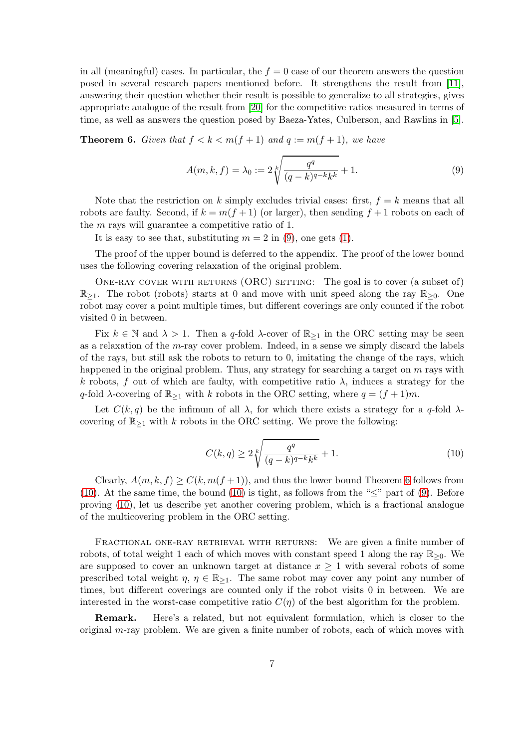in all (meaningful) cases. In particular, the  $f = 0$  case of our theorem answers the question posed in several research papers mentioned before. It strengthens the result from [\[11\]](#page-11-14), answering their question whether their result is possible to generalize to all strategies, gives appropriate analogue of the result from [\[20\]](#page-12-3) for the competitive ratios measured in terms of time, as well as answers the question posed by Baeza-Yates, Culberson, and Rawlins in [\[5\]](#page-11-7).

<span id="page-7-1"></span>**Theorem 6.** Given that  $f < k < m(f + 1)$  and  $q := m(f + 1)$ , we have

<span id="page-7-0"></span>
$$
A(m,k,f) = \lambda_0 := 2\sqrt[k]{\frac{q^q}{(q-k)^{q-k}k^k}} + 1.
$$
 (9)

Note that the restriction on k simply excludes trivial cases: first,  $f = k$  means that all robots are faulty. Second, if  $k = m(f + 1)$  (or larger), then sending  $f + 1$  robots on each of the m rays will guarantee a competitive ratio of 1.

It is easy to see that, substituting  $m = 2$  in [\(9\)](#page-7-0), one gets [\(1\)](#page-2-0).

The proof of the upper bound is deferred to the appendix. The proof of the lower bound uses the following covering relaxation of the original problem.

ONE-RAY COVER WITH RETURNS  $(ORC)$  setting: The goal is to cover (a subset of)  $\mathbb{R}_{\geq 1}$ . The robot (robots) starts at 0 and move with unit speed along the ray  $\mathbb{R}_{\geq 0}$ . One robot may cover a point multiple times, but different coverings are only counted if the robot visited 0 in between.

Fix  $k \in \mathbb{N}$  and  $\lambda > 1$ . Then a q-fold  $\lambda$ -cover of  $\mathbb{R}_{\geq 1}$  in the ORC setting may be seen as a relaxation of the m-ray cover problem. Indeed, in a sense we simply discard the labels of the rays, but still ask the robots to return to 0, imitating the change of the rays, which happened in the original problem. Thus, any strategy for searching a target on  $m$  rays with k robots, f out of which are faulty, with competitive ratio  $\lambda$ , induces a strategy for the q-fold  $\lambda$ -covering of  $\mathbb{R}_{\geq 1}$  with k robots in the ORC setting, where  $q = (f + 1)m$ .

Let  $C(k, q)$  be the infimum of all  $\lambda$ , for which there exists a strategy for a q-fold  $\lambda$ covering of  $\mathbb{R}_{\geq 1}$  with k robots in the ORC setting. We prove the following:

<span id="page-7-2"></span>
$$
C(k,q) \ge 2\sqrt[k]{\frac{q^q}{(q-k)^{q-k}k^k}} + 1.
$$
 (10)

Clearly,  $A(m, k, f) \geq C(k, m(f+1))$ , and thus the lower bound Theorem [6](#page-7-1) follows from [\(10\)](#page-7-2). At the same time, the bound [\(10\)](#page-7-2) is tight, as follows from the " $\leq$ " part of [\(9\)](#page-7-0). Before proving [\(10\)](#page-7-2), let us describe yet another covering problem, which is a fractional analogue of the multicovering problem in the ORC setting.

FRACTIONAL ONE-RAY RETRIEVAL WITH RETURNS: We are given a finite number of robots, of total weight 1 each of which moves with constant speed 1 along the ray  $\mathbb{R}_{\geq 0}$ . We are supposed to cover an unknown target at distance  $x \geq 1$  with several robots of some prescribed total weight  $\eta, \eta \in \mathbb{R}_{\geq 1}$ . The same robot may cover any point any number of times, but different coverings are counted only if the robot visits 0 in between. We are interested in the worst-case competitive ratio  $C(\eta)$  of the best algorithm for the problem.

Remark. Here's a related, but not equivalent formulation, which is closer to the original  $m$ -ray problem. We are given a finite number of robots, each of which moves with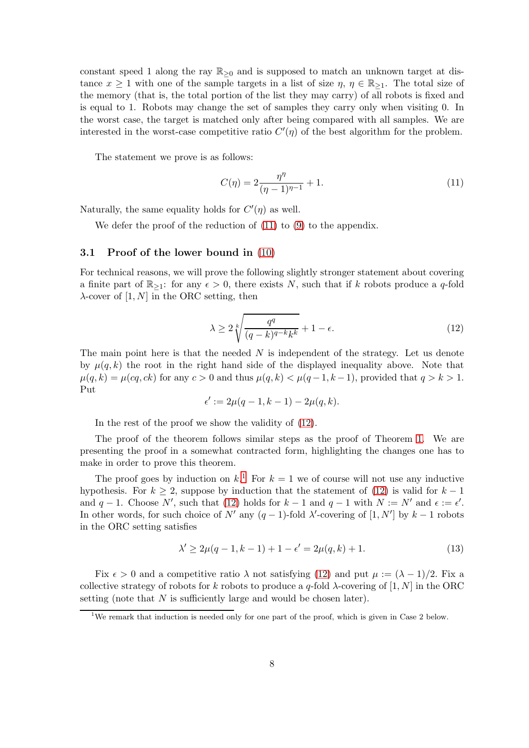constant speed 1 along the ray  $\mathbb{R}_{\geq 0}$  and is supposed to match an unknown target at distance  $x \ge 1$  with one of the sample targets in a list of size  $\eta, \eta \in \mathbb{R}_{\ge 1}$ . The total size of the memory (that is, the total portion of the list they may carry) of all robots is fixed and is equal to 1. Robots may change the set of samples they carry only when visiting 0. In the worst case, the target is matched only after being compared with all samples. We are interested in the worst-case competitive ratio  $C'(\eta)$  of the best algorithm for the problem.

The statement we prove is as follows:

<span id="page-8-0"></span>
$$
C(\eta) = 2\frac{\eta^{\eta}}{(\eta - 1)^{\eta - 1}} + 1.
$$
\n(11)

Naturally, the same equality holds for  $C'(\eta)$  as well.

We defer the proof of the reduction of  $(11)$  to  $(9)$  to the appendix.

#### 3.1 Proof of the lower bound in [\(10\)](#page-7-2)

For technical reasons, we will prove the following slightly stronger statement about covering a finite part of  $\mathbb{R}_{\geq 1}$ : for any  $\epsilon > 0$ , there exists N, such that if k robots produce a q-fold  $\lambda$ -cover of [1, N] in the ORC setting, then

<span id="page-8-1"></span>
$$
\lambda \ge 2\sqrt[k]{\frac{q^q}{(q-k)^{q-k}k^k}} + 1 - \epsilon.
$$
\n(12)

The main point here is that the needed  $N$  is independent of the strategy. Let us denote by  $\mu(q, k)$  the root in the right hand side of the displayed inequality above. Note that  $\mu(q, k) = \mu(cq, ck)$  for any  $c > 0$  and thus  $\mu(q, k) < \mu(q-1, k-1)$ , provided that  $q > k > 1$ . Put

$$
\epsilon':=2\mu(q-1,k-1)-2\mu(q,k).
$$

In the rest of the proof we show the validity of [\(12\)](#page-8-1).

The proof of the theorem follows similar steps as the proof of Theorem [1.](#page-2-1) We are presenting the proof in a somewhat contracted form, highlighting the changes one has to make in order to prove this theorem.

The proof goes by induction on  $k$ <sup>[1](#page-8-2)</sup>. For  $k = 1$  we of course will not use any inductive hypothesis. For  $k > 2$ , suppose by induction that the statement of [\(12\)](#page-8-1) is valid for  $k - 1$ and  $q-1$ . Choose N', such that [\(12\)](#page-8-1) holds for  $k-1$  and  $q-1$  with  $N := N'$  and  $\epsilon := \epsilon'$ . In other words, for such choice of  $N'$  any  $(q-1)$ -fold  $\lambda'$ -covering of  $[1, N']$  by  $k-1$  robots in the ORC setting satisfies

<span id="page-8-3"></span>
$$
\lambda' \ge 2\mu(q-1, k-1) + 1 - \epsilon' = 2\mu(q, k) + 1. \tag{13}
$$

Fix  $\epsilon > 0$  and a competitive ratio  $\lambda$  not satisfying [\(12\)](#page-8-1) and put  $\mu := (\lambda - 1)/2$ . Fix a collective strategy of robots for k robots to produce a q-fold  $\lambda$ -covering of [1, N] in the ORC setting (note that N is sufficiently large and would be chosen later).

<span id="page-8-2"></span><sup>&</sup>lt;sup>1</sup>We remark that induction is needed only for one part of the proof, which is given in Case 2 below.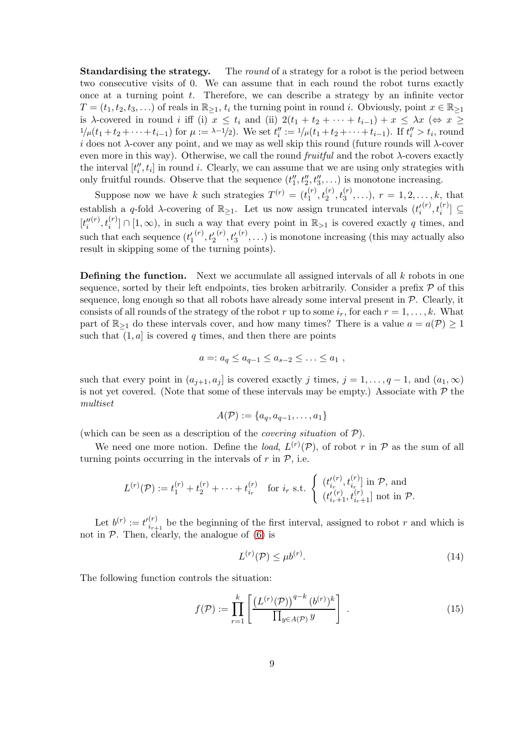**Standardising the strategy.** The *round* of a strategy for a robot is the period between two consecutive visits of 0. We can assume that in each round the robot turns exactly once at a turning point  $t$ . Therefore, we can describe a strategy by an infinite vector  $T = (t_1, t_2, t_3, \ldots)$  of reals in  $\mathbb{R}_{\geq 1}$ ,  $t_i$  the turning point in round i. Obviously, point  $x \in \mathbb{R}_{\geq 1}$ is  $\lambda$ -covered in round i iff (i)  $x \leq t_i$  and (ii)  $2(t_1 + t_2 + \cdots + t_{i-1}) + x \leq \lambda x$  ( $\Leftrightarrow x \geq$  $1/\mu(t_1+t_2+\cdots+t_{i-1})$  for  $\mu := \lambda-1/2$ . We set  $t''_i := 1/\mu(t_1+t_2+\cdots+t_{i-1})$ . If  $t''_i > t_i$ , round i does not  $\lambda$ -cover any point, and we may as well skip this round (future rounds will  $\lambda$ -cover even more in this way). Otherwise, we call the round *fruitful* and the robot  $\lambda$ -covers exactly the interval  $[t_i'', t_i]$  in round i. Clearly, we can assume that we are using only strategies with only fruitful rounds. Observe that the sequence  $(t''_1, t''_2, t''_3, \ldots)$  is monotone increasing.

Suppose now we have k such strategies  $T^{(r)} = (t_1^{(r)})$  $\mathcal{L}_1^{(r)}, \mathcal{t}_2^{(r)}, \mathcal{t}_3^{(r)}, \ldots), r = 1, 2, \ldots, k, \text{ that}$ establish a q-fold  $\lambda$ -covering of  $\mathbb{R}_{\geq 1}$ . Let us now assign truncated intervals  $(t'_i)$  $(x^{(r)}, t_i^{(r)}] \subseteq$  $[t_i^{\prime\prime}% \boldsymbol{\hat{z}}_{i}^{\prime\prime}] \label{eq:2}%$  $\mathbb{R}^{(r)}$ ,  $t_i^{(r)}$   $\cap$   $[1,\infty)$ , in such a way that every point in  $\mathbb{R}_{>1}$  is covered exactly q times, and such that each sequence  $(t'_1)$  $^{(r)}, t_{2}^{\prime}$  $^{(r)}, t'_{3}$  $(r), \ldots$ ) is monotone increasing (this may actually also result in skipping some of the turning points).

**Defining the function.** Next we accumulate all assigned intervals of all  $k$  robots in one sequence, sorted by their left endpoints, ties broken arbitrarily. Consider a prefix  $\mathcal P$  of this sequence, long enough so that all robots have already some interval present in  $P$ . Clearly, it consists of all rounds of the strategy of the robot r up to some  $i_r$ , for each  $r = 1, \ldots, k$ . What part of  $\mathbb{R}_{\geq 1}$  do these intervals cover, and how many times? There is a value  $a = a(\mathcal{P}) \geq 1$ such that  $(1, a]$  is covered q times, and then there are points

$$
a=:a_q\leq a_{q-1}\leq a_{s-2}\leq\ldots\leq a_1,
$$

such that every point in  $(a_{j+1}, a_j]$  is covered exactly j times,  $j = 1, \ldots, q-1$ , and  $(a_1, \infty)$ is not yet covered. (Note that some of these intervals may be empty.) Associate with  $P$  the *multiset*

$$
A(\mathcal{P}) := \{a_q, a_{q-1}, \ldots, a_1\}
$$

(which can be seen as a description of the *covering situation* of P).

We need one more notion. Define the *load*,  $L^{(r)}(\mathcal{P})$ , of robot r in  $\mathcal P$  as the sum of all turning points occurring in the intervals of  $r$  in  $\mathcal{P}$ , i.e.

$$
L^{(r)}(\mathcal{P}) := t_1^{(r)} + t_2^{(r)} + \cdots + t_{i_r}^{(r)} \quad \text{for } i_r \text{ s.t. } \begin{cases} (t_{i_r}^{(r)}, t_{i_r}^{(r)}) \text{ in } \mathcal{P}, \text{ and} \\ (t_{i_r+1}^{(r)}, t_{i_r+1}^{(r)}) \text{ not in } \mathcal{P}. \end{cases}
$$

Let  $b^{(r)} := t'_{i_{r+1}}^{(r)}$  $\sum_{i=1}^{(r)}$  be the beginning of the first interval, assigned to robot r and which is not in  $P$ . Then, clearly, the analogue of  $(6)$  is

<span id="page-9-0"></span>
$$
L^{(r)}(\mathcal{P}) \le \mu b^{(r)}.\tag{14}
$$

The following function controls the situation:

<span id="page-9-1"></span>
$$
f(\mathcal{P}) := \prod_{r=1}^{k} \left[ \frac{\left( L^{(r)}(\mathcal{P}) \right)^{q-k} (b^{(r)})^k}{\prod_{y \in A(\mathcal{P})} y} \right].
$$
 (15)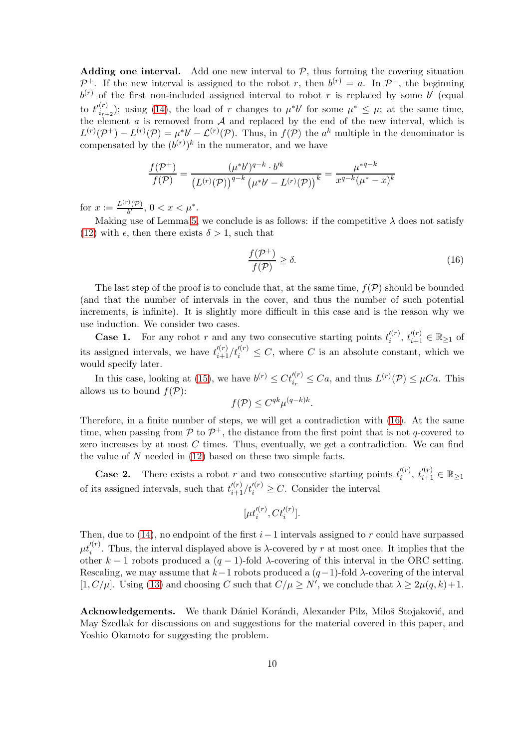Adding one interval. Add one new interval to  $P$ , thus forming the covering situation  $\mathcal{P}^+$ . If the new interval is assigned to the robot r, then  $b^{(r)} = a$ . In  $\mathcal{P}^+$ , the beginning  $b^{(r)}$  of the first non-included assigned interval to robot r is replaced by some b' (equal to  $t'^{(r)}_{i_{r}}$  $\binom{r}{i_{r+2}}$ ; using [\(14\)](#page-9-0), the load of r changes to  $\mu^* b'$  for some  $\mu^* \leq \mu$ ; at the same time, the element  $\alpha$  is removed from  $\mathcal A$  and replaced by the end of the new interval, which is  $L^{(r)}(\mathcal{P}^+) - L^{(r)}(\mathcal{P}) = \mu^* b' - \mathcal{L}^{(r)}(\mathcal{P})$ . Thus, in  $f(\mathcal{P})$  the  $a^k$  multiple in the denominator is compensated by the  $(b^{(r)})^k$  in the numerator, and we have

$$
\frac{f(\mathcal{P}^+)}{f(\mathcal{P})} = \frac{(\mu^* b')^{q-k} \cdot b'^k}{(L^{(r)}(\mathcal{P}))^{q-k} (\mu^* b' - L^{(r)}(\mathcal{P}))^k} = \frac{\mu^{*q-k}}{x^{q-k} (\mu^* - x)^k}
$$

for  $x := \frac{L^{(r)}(\mathcal{P})}{b'}$  $\frac{\partial(\mathcal{P})}{\partial b'}, 0 < x < \mu^*.$ 

Making use of Lemma [5,](#page-5-1) we conclude is as follows: if the competitive  $\lambda$  does not satisfy [\(12\)](#page-8-1) with  $\epsilon$ , then there exists  $\delta > 1$ , such that

<span id="page-10-0"></span>
$$
\frac{f(\mathcal{P}^+)}{f(\mathcal{P})} \ge \delta. \tag{16}
$$

The last step of the proof is to conclude that, at the same time,  $f(\mathcal{P})$  should be bounded (and that the number of intervals in the cover, and thus the number of such potential increments, is infinite). It is slightly more difficult in this case and is the reason why we use induction. We consider two cases.

**Case 1.** For any robot r and any two consecutive starting points  $t_i^{(r)}$  $t_i^{(r)}, t_{i+1}^{(r)} \in \mathbb{R}_{\geq 1}$  of its assigned intervals, we have  $t_{i+1}^{\prime (r)}/t_i^{\prime (r)} \leq C$ , where C is an absolute constant, which we would specify later.

In this case, looking at [\(15\)](#page-9-1), we have  $b^{(r)} \leq C t_{i_r}^{\prime (r)} \leq C a$ , and thus  $L^{(r)}(\mathcal{P}) \leq \mu Ca$ . This allows us to bound  $f(\mathcal{P})$ :

$$
f(\mathcal{P}) \leq C^{qk} \mu^{(q-k)k}.
$$

Therefore, in a finite number of steps, we will get a contradiction with [\(16\)](#page-10-0). At the same time, when passing from  $P$  to  $P^+$ , the distance from the first point that is not q-covered to zero increases by at most  $C$  times. Thus, eventually, we get a contradiction. We can find the value of  $N$  needed in  $(12)$  based on these two simple facts.

**Case 2.** There exists a robot r and two consecutive starting points  $t_i^{(r)}$  $t_i^{(r)}, t_{i+1}^{\prime (r)} \in \mathbb{R}_{\geq 1}$ of its assigned intervals, such that  $t_{i+1}^{\prime(r)}/t_i^{\prime(r)} \geq C$ . Consider the interval

$$
[\mu t_i^{\prime(r)}, Ct_i^{\prime(r)}].
$$

Then, due to [\(14\)](#page-9-0), no endpoint of the first  $i-1$  intervals assigned to r could have surpassed  $\mu t_i^{\prime (r)}$ . Thus, the interval displayed above is  $\lambda$ -covered by r at most once. It implies that the other k – 1 robots produced a  $(q-1)$ -fold  $\lambda$ -covering of this interval in the ORC setting. Rescaling, we may assume that  $k-1$  robots produced a  $(q-1)$ -fold  $\lambda$ -covering of the interval [1, C/ $\mu$ ]. Using [\(13\)](#page-8-3) and choosing C such that  $C/\mu \ge N'$ , we conclude that  $\lambda \ge 2\mu(q, k)+1$ .

Acknowledgements. We thank Dániel Korándi, Alexander Pilz, Miloš Stojaković, and May Szedlak for discussions on and suggestions for the material covered in this paper, and Yoshio Okamoto for suggesting the problem.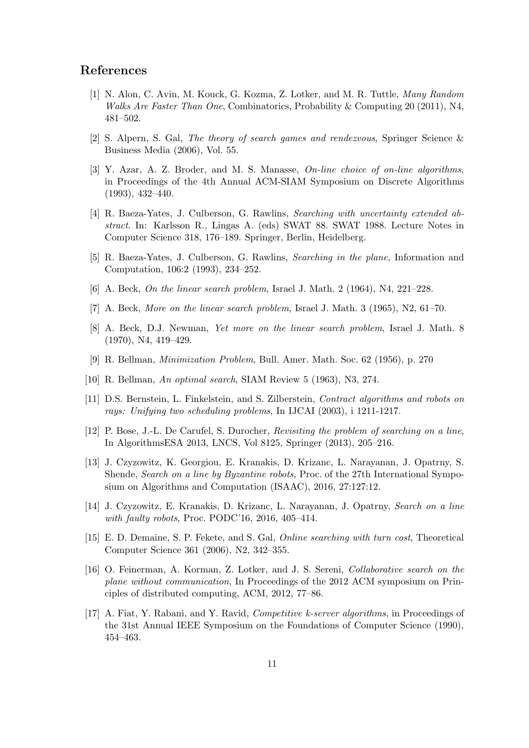#### <span id="page-11-10"></span>References

- [1] N. Alon, C. Avin, M. Kouck, G. Kozma, Z. Lotker, and M. R. Tuttle, *Many Random Walks Are Faster Than One*, Combinatorics, Probability & Computing 20 (2011), N4, 481–502.
- <span id="page-11-15"></span><span id="page-11-9"></span>[2] S. Alpern, S. Gal, *The theory of search games and rendezvous*, Springer Science & Business Media (2006), Vol. 55.
- [3] Y. Azar, A. Z. Broder, and M. S. Manasse, *On-line choice of on-line algorithms*, in Proceedings of the 4th Annual ACM-SIAM Symposium on Discrete Algorithms (1993), 432–440.
- <span id="page-11-4"></span>[4] R. Baeza-Yates, J. Culberson, G. Rawlins, *Searching with uncertainty extended abstract*. In: Karlsson R., Lingas A. (eds) SWAT 88. SWAT 1988. Lecture Notes in Computer Science 318, 176–189. Springer, Berlin, Heidelberg.
- <span id="page-11-7"></span>[5] R. Baeza-Yates, J. Culberson, G. Rawlins, *Searching in the plane*, Information and Computation, 106:2 (1993), 234–252.
- <span id="page-11-2"></span><span id="page-11-1"></span>[6] A. Beck, *On the linear search problem*, Israel J. Math. 2 (1964), N4, 221–228.
- <span id="page-11-3"></span>[7] A. Beck, *More on the linear search problem*, Israel J. Math. 3 (1965), N2, 61–70.
- [8] A. Beck, D.J. Newman, *Yet more on the linear search problem*, Israel J. Math. 8 (1970), N4, 419–429.
- <span id="page-11-8"></span><span id="page-11-0"></span>[9] R. Bellman, *Minimization Problem*, Bull. Amer. Math. Soc. 62 (1956), p. 270
- <span id="page-11-14"></span>[10] R. Bellman, *An optimal search*, SIAM Review 5 (1963), N3, 274.
- <span id="page-11-5"></span>[11] D.S. Bernstein, L. Finkelstein, and S. Zilberstein, *Contract algorithms and robots on rays: Unifying two scheduling problems*, In IJCAI (2003), i 1211-1217.
- [12] P. Bose, J.-L. De Carufel, S. Durocher, *Revisiting the problem of searching on a line*, In AlgorithmsESA 2013, LNCS, Vol 8125, Springer (2013), 205–216.
- <span id="page-11-12"></span>[13] J. Czyzowitz, K. Georgiou, E. Kranakis, D. Krizanc, L. Narayanan, J. Opatrny, S. Shende, *Search on a line by Byzantine robots*, Proc. of the 27th International Symposium on Algorithms and Computation (ISAAC), 2016, 27:127:12.
- <span id="page-11-13"></span>[14] J. Czyzowitz, E. Kranakis, D. Krizanc, L. Narayanan, J. Opatrny, *Search on a line with faulty robots*, Proc. PODC'16, 2016, 405–414.
- <span id="page-11-6"></span>[15] E. D. Demaine, S. P. Fekete, and S. Gal, *Online searching with turn cost*, Theoretical Computer Science 361 (2006), N2, 342–355.
- <span id="page-11-11"></span>[16] O. Feinerman, A. Korman, Z. Lotker, and J. S. Sereni, *Collaborative search on the plane without communication*, In Proceedings of the 2012 ACM symposium on Principles of distributed computing, ACM, 2012, 77–86.
- <span id="page-11-16"></span>[17] A. Fiat, Y. Rabani, and Y. Ravid, *Competitive k-server algorithms*, in Proceedings of the 31st Annual IEEE Symposium on the Foundations of Computer Science (1990), 454–463.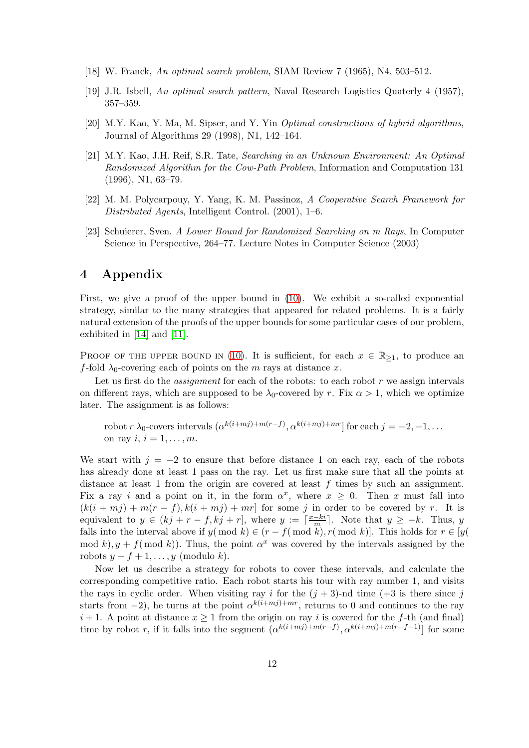- <span id="page-12-1"></span><span id="page-12-0"></span>[18] W. Franck, *An optimal search problem*, SIAM Review 7 (1965), N4, 503–512.
- <span id="page-12-3"></span>[19] J.R. Isbell, *An optimal search pattern*, Naval Research Logistics Quaterly 4 (1957), 357–359.
- <span id="page-12-4"></span>[20] M.Y. Kao, Y. Ma, M. Sipser, and Y. Yin *Optimal constructions of hybrid algorithms*, Journal of Algorithms 29 (1998), N1, 142–164.
- [21] M.Y. Kao, J.H. Reif, S.R. Tate, *Searching in an Unknown Environment: An Optimal Randomized Algorithm for the Cow-Path Problem*, Information and Computation 131 (1996), N1, 63–79.
- <span id="page-12-2"></span>[22] M. M. Polycarpouy, Y. Yang, K. M. Passinoz, *A Cooperative Search Framework for Distributed Agents*, Intelligent Control. (2001), 1–6.
- <span id="page-12-5"></span>[23] Schuierer, Sven. *A Lower Bound for Randomized Searching on m Rays*, In Computer Science in Perspective, 264–77. Lecture Notes in Computer Science (2003)

### 4 Appendix

First, we give a proof of the upper bound in [\(10\)](#page-7-2). We exhibit a so-called exponential strategy, similar to the many strategies that appeared for related problems. It is a fairly natural extension of the proofs of the upper bounds for some particular cases of our problem, exhibited in [\[14\]](#page-11-13) and [\[11\]](#page-11-14).

PROOF OF THE UPPER BOUND IN [\(10\)](#page-7-2). It is sufficient, for each  $x \in \mathbb{R}_{\geq 1}$ , to produce an f-fold  $\lambda_0$ -covering each of points on the m rays at distance x.

Let us first do the *assignment* for each of the robots: to each robot r we assign intervals on different rays, which are supposed to be  $\lambda_0$ -covered by r. Fix  $\alpha > 1$ , which we optimize later. The assignment is as follows:

robot 
$$
r \lambda_0
$$
- covers intervals  $(\alpha^{k(i+mj)+m(r-f)}, \alpha^{k(i+mj)+mr}]$  for each  $j = -2, -1, \ldots$  on ray  $i, i = 1, \ldots, m$ .

We start with  $j = -2$  to ensure that before distance 1 on each ray, each of the robots has already done at least 1 pass on the ray. Let us first make sure that all the points at distance at least 1 from the origin are covered at least  $f$  times by such an assignment. Fix a ray i and a point on it, in the form  $\alpha^x$ , where  $x \geq 0$ . Then x must fall into  $(k(i + mj) + m(r - f), k(i + mj) + mr]$  for some j in order to be covered by r. It is equivalent to  $y \in (kj + r - f, kj + r]$ , where  $y := \lceil \frac{x - ki}{m} \rceil$ . Note that  $y \geq -k$ . Thus, y falls into the interval above if  $y(\bmod k) \in (r - f(\bmod k), r(\bmod k))$ . This holds for  $r \in [y(\bmod k)]$ . mod k),  $y + f(\text{mod } k)$ . Thus, the point  $\alpha^x$  was covered by the intervals assigned by the robots  $y - f + 1, \ldots, y$  (modulo k).

Now let us describe a strategy for robots to cover these intervals, and calculate the corresponding competitive ratio. Each robot starts his tour with ray number 1, and visits the rays in cyclic order. When visiting ray i for the  $(j + 3)$ -nd time  $(+3)$  is there since j starts from  $-2$ ), he turns at the point  $\alpha^{k(i+mj)+mr}$ , returns to 0 and continues to the ray  $i+1$ . A point at distance  $x \ge 1$  from the origin on ray i is covered for the f-th (and final) time by robot r, if it falls into the segment  $(\alpha^{k(i+mj)+m(r-f)}, \alpha^{k(i+mj)+m(r-f+1)})$  for some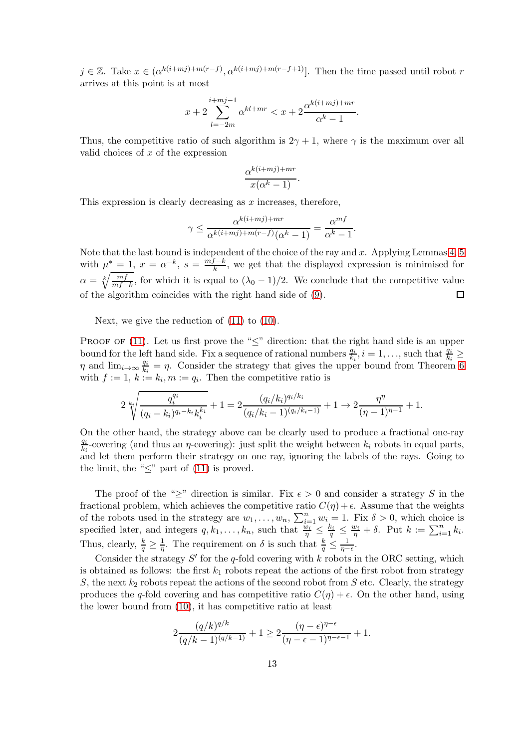$j \in \mathbb{Z}$ . Take  $x \in (\alpha^{k(i+mj)+m(r-f)}, \alpha^{k(i+mj)+m(r-f+1)}]$ . Then the time passed until robot r arrives at this point is at most

$$
x + 2\sum_{l=-2m}^{i+mj-1} \alpha^{kl+mr} < x + 2\frac{\alpha^{k(i+mj)+mr}}{\alpha^k - 1}.
$$

Thus, the competitive ratio of such algorithm is  $2\gamma + 1$ , where  $\gamma$  is the maximum over all valid choices of  $x$  of the expression

$$
\frac{\alpha^{k(i+mj)+mr}}{x(\alpha^k-1)}.
$$

This expression is clearly decreasing as  $x$  increases, therefore,

$$
\gamma \le \frac{\alpha^{k(i+mj)+mr}}{\alpha^{k(i+mj)+m(r-f)}(\alpha^k-1)} = \frac{\alpha^{mf}}{\alpha^k-1}.
$$

Note that the last bound is independent of the choice of the ray and  $x$ . Applying Lemmas [4,](#page-5-0) [5](#page-5-1) with  $\mu^* = 1, x = \alpha^{-k}, s = \frac{mf-k}{k}$  $\frac{K - \kappa}{k}$ , we get that the displayed expression is minimised for  $\alpha = \sqrt[k]{\frac{mf}{mf-k}}$ , for which it is equal to  $(\lambda_0 - 1)/2$ . We conclude that the competitive value of the algorithm coincides with the right hand side of [\(9\)](#page-7-0).  $\Box$ 

Next, we give the reduction of [\(11\)](#page-8-0) to [\(10\)](#page-7-2).

PROOF OF  $(11)$ . Let us first prove the " $\leq$ " direction: that the right hand side is an upper bound for the left hand side. Fix a sequence of rational numbers  $\frac{q_i}{k_i}$  $\frac{q_i}{k_i}, i = 1, \ldots$ , such that  $\frac{q_i}{k_i} \ge$  $\eta$  and  $\lim_{i\to\infty}\frac{q_i}{k_i}$  $\frac{q_i}{k_i} = \eta$ . Consider the strategy that gives the upper bound from Theorem [6](#page-7-1) with  $f := 1, k := k_i, m := q_i$ . Then the competitive ratio is

$$
2 \sqrt[k_i]{\frac{q_i^{q_i}}{(q_i - k_i)^{q_i - k_i} k_i^{k_i}}} + 1 = 2 \frac{(q_i / k_i)^{q_i / k_i}}{(q_i / k_i - 1)^{(q_i / k_i - 1)}} + 1 \rightarrow 2 \frac{\eta^{\eta}}{(\eta - 1)^{\eta - 1}} + 1.
$$

On the other hand, the strategy above can be clearly used to produce a fractional one-ray qi  $\frac{q_i}{k_i}$ -covering (and thus an  $\eta$ -covering): just split the weight between  $k_i$  robots in equal parts, and let them perform their strategy on one ray, ignoring the labels of the rays. Going to the limit, the " $\leq$ " part of [\(11\)](#page-8-0) is proved.

The proof of the " $\geq$ " direction is similar. Fix  $\epsilon > 0$  and consider a strategy S in the fractional problem, which achieves the competitive ratio  $C(\eta) + \epsilon$ . Assume that the weights of the robots used in the strategy are  $w_1, \ldots, w_n$ ,  $\sum_{i=1}^n w_i = 1$ . Fix  $\delta > 0$ , which choice is specified later, and integers  $q, k_1, \ldots, k_n$ , such that  $\frac{\dot{w}_i}{\eta} \leq \frac{k_i}{q} \leq \frac{w_i}{\eta} + \delta$ . Put  $k := \sum_{i=1}^n k_i$ . Thus, clearly,  $\frac{k}{q} \geq \frac{1}{\eta}$  $\frac{1}{\eta}$ . The requirement on  $\delta$  is such that  $\frac{k}{q} \leq \frac{1}{\eta-1}$  $\frac{1}{\eta-\epsilon}$ .

Consider the strategy  $S'$  for the q-fold covering with  $k$  robots in the ORC setting, which is obtained as follows: the first  $k_1$  robots repeat the actions of the first robot from strategy S, the next  $k_2$  robots repeat the actions of the second robot from  $S$  etc. Clearly, the strategy produces the q-fold covering and has competitive ratio  $C(\eta) + \epsilon$ . On the other hand, using the lower bound from [\(10\)](#page-7-2), it has competitive ratio at least

$$
2 \frac{(q/k)^{q/k}}{(q/k-1)^{(q/k-1)}} + 1 \ge 2 \frac{(\eta - \epsilon)^{\eta - \epsilon}}{(\eta - \epsilon - 1)^{\eta - \epsilon - 1}} + 1.
$$